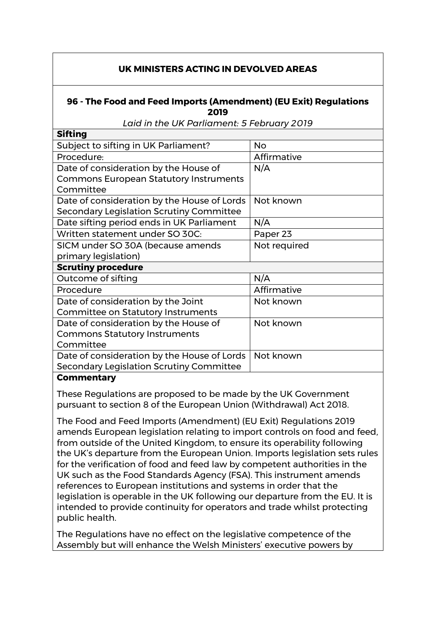## **UK MINISTERS ACTING IN DEVOLVED AREAS**

## **96 - The Food and Feed Imports (Amendment) (EU Exit) Regulations 2019**

*Laid in the UK Parliament: 5 February 2019*

| <b>Sifting</b>                                |              |
|-----------------------------------------------|--------------|
| Subject to sifting in UK Parliament?          | <b>No</b>    |
| Procedure:                                    | Affirmative  |
| Date of consideration by the House of         | N/A          |
| <b>Commons European Statutory Instruments</b> |              |
| Committee                                     |              |
| Date of consideration by the House of Lords   | Not known    |
| Secondary Legislation Scrutiny Committee      |              |
| Date sifting period ends in UK Parliament     | N/A          |
| Written statement under SO 30C:               | Paper 23     |
| SICM under SO 30A (because amends             | Not required |
| primary legislation)                          |              |
| <b>Scrutiny procedure</b>                     |              |
| Outcome of sifting                            | N/A          |
| Procedure                                     | Affirmative  |
| Date of consideration by the Joint            | Not known    |
| <b>Committee on Statutory Instruments</b>     |              |
| Date of consideration by the House of         | Not known    |
| <b>Commons Statutory Instruments</b>          |              |
| Committee                                     |              |
| Date of consideration by the House of Lords   | Not known    |
| Secondary Legislation Scrutiny Committee      |              |
|                                               |              |

## **Commentary**

These Regulations are proposed to be made by the UK Government pursuant to section 8 of the European Union (Withdrawal) Act 2018.

The Food and Feed Imports (Amendment) (EU Exit) Regulations 2019 amends European legislation relating to import controls on food and feed, from outside of the United Kingdom, to ensure its operability following the UK's departure from the European Union. Imports legislation sets rules for the verification of food and feed law by competent authorities in the UK such as the Food Standards Agency (FSA). This instrument amends references to European institutions and systems in order that the legislation is operable in the UK following our departure from the EU. It is intended to provide continuity for operators and trade whilst protecting public health.

The Regulations have no effect on the legislative competence of the Assembly but will enhance the Welsh Ministers' executive powers by